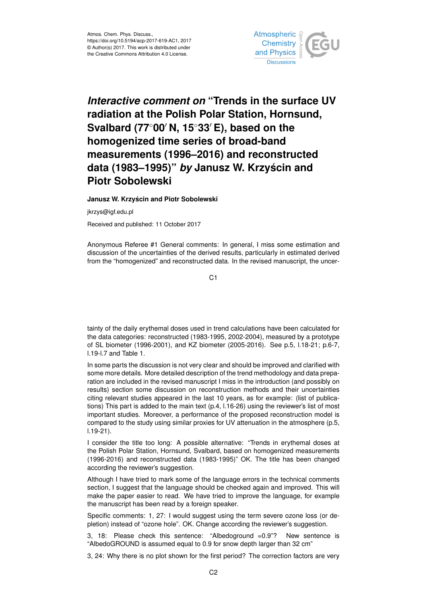

## *Interactive comment on* **"Trends in the surface UV radiation at the Polish Polar Station, Hornsund, Svalbard (77<sup>◦</sup>00<sup>'</sup> N, 15<sup>◦</sup>33<sup>'</sup> E), based on the homogenized time series of broad-band measurements (1996–2016) and reconstructed data (1983–1995)"** *by* **Janusz W. Krzyscin and ´ Piotr Sobolewski**

**Janusz W. Krzyscin and Piotr Sobolewski ´**

jkrzys@igf.edu.pl

Received and published: 11 October 2017

Anonymous Referee #1 General comments: In general, I miss some estimation and discussion of the uncertainties of the derived results, particularly in estimated derived from the "homogenized" and reconstructed data. In the revised manuscript, the uncer-

C1

tainty of the daily erythemal doses used in trend calculations have been calculated for the data categories: reconstructed (1983-1995, 2002-2004), measured by a prototype of SL biometer (1996-2001), and KZ biometer (2005-2016). See p.5, l.18-21; p.6-7, l.19-l.7 and Table 1.

In some parts the discussion is not very clear and should be improved and clarified with some more details. More detailed description of the trend methodology and data preparation are included in the revised manuscript I miss in the introduction (and possibly on results) section some discussion on reconstruction methods and their uncertainties citing relevant studies appeared in the last 10 years, as for example: (list of publications) This part is added to the main text (p.4, l.16-26) using the reviewer's list of most important studies. Moreover, a performance of the proposed reconstruction model is compared to the study using similar proxies for UV attenuation in the atmosphere (p.5, l.19-21).

I consider the title too long: A possible alternative: "Trends in erythemal doses at the Polish Polar Station, Hornsund, Svalbard, based on homogenized measurements (1996-2016) and reconstructed data (1983-1995)" OK. The title has been changed according the reviewer's suggestion.

Although I have tried to mark some of the language errors in the technical comments section, I suggest that the language should be checked again and improved. This will make the paper easier to read. We have tried to improve the language, for example the manuscript has been read by a foreign speaker.

Specific comments: 1, 27: I would suggest using the term severe ozone loss (or depletion) instead of "ozone hole". OK. Change according the reviewer's suggestion.

3, 18: Please check this sentence: "Albedoground =0.9"? New sentence is "AlbedoGROUND is assumed equal to 0.9 for snow depth larger than 32 cm"

3, 24: Why there is no plot shown for the first period? The correction factors are very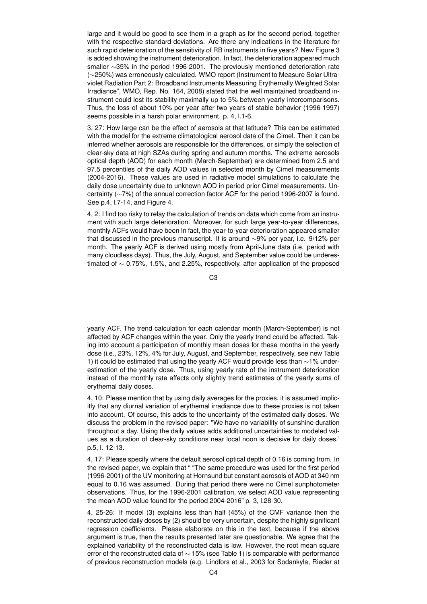large and it would be good to see them in a graph as for the second period, together with the respective standard deviations. Are there any indications in the literature for such rapid deterioration of the sensitivity of RB instruments in five years? New Figure 3 is added showing the instrument deterioration. In fact, the deterioration appeared much smaller ∼35% in the period 1996-2001. The previously mentioned deterioration rate (∼250%) was erroneously calculated. WMO report (Instrument to Measure Solar Ultraviolet Radiation Part 2: Broadband Instruments Measuring Erythemally Weighted Solar Irradiance", WMO, Rep. No. 164, 2008) stated that the well maintained broadband instrument could lost its stability maximally up to 5% between yearly intercomparisons. Thus, the loss of about 10% per year after two years of stable behavior (1996-1997) seems possible in a harsh polar environment. p. 4, l.1-6.

3, 27: How large can be the effect of aerosols at that latitude? This can be estimated with the model for the extreme climatological aerosol data of the Cimel. Then it can be inferred whether aerosols are responsible for the differences, or simply the selection of clear-sky data at high SZAs during spring and autumn months. The extreme aerosols optical depth (AOD) for each month (March-September) are determined from 2.5 and 97.5 percentiles of the daily AOD values in selected month by Cimel measurements (2004-2016). These values are used in radiative model simulations to calculate the daily dose uncertainty due to unknown AOD in period prior Cimel measurements. Uncertainty (∼7%) of the annual correction factor ACF for the period 1996-2007 is found. See p.4, l.7-14, and Figure 4.

4, 2: I find too risky to relay the calculation of trends on data which come from an instrument with such large deterioration. Moreover, for such large year-to-year differences, monthly ACFs would have been In fact, the year-to-year deterioration appeared smaller that discussed in the previous manuscript. It is around ∼9% per year, i.e. 9/12% per month. The yearly ACF is derived using mostly from April-June data (i.e. period with many cloudless days). Thus, the July, August, and September value could be underestimated of ∼ 0.75%, 1.5%, and 2.25%, respectively, after application of the proposed

C3

yearly ACF. The trend calculation for each calendar month (March-September) is not affected by ACF changes within the year. Only the yearly trend could be affected. Taking into account a participation of monthly mean doses for these months in the yearly dose (i.e., 23%, 12%, 4% for July, August, and September, respectively, see new Table 1) it could be estimated that using the yearly ACF would provide less than ∼1% underestimation of the yearly dose. Thus, using yearly rate of the instrument deterioration instead of the monthly rate affects only slightly trend estimates of the yearly sums of erythemal daily doses.

4, 10: Please mention that by using daily averages for the proxies, it is assumed implicitly that any diurnal variation of erythemal irradiance due to these proxies is not taken into account. Of course, this adds to the uncertainty of the estimated daily doses. We discuss the problem in the revised paper: "We have no variability of sunshine duration throughout a day. Using the daily values adds additional uncertainties to modeled values as a duration of clear-sky conditions near local noon is decisive for daily doses." p.5, l. 12-13.

4, 17: Please specify where the default aerosol optical depth of 0.16 is coming from. In the revised paper, we explain that " "The same procedure was used for the first period (1996-2001) of the UV monitoring at Hornsund but constant aerosols of AOD at 340 nm equal to 0.16 was assumed. During that period there were no Cimel sunphotometer observations. Thus, for the 1996-2001 calibration, we select AOD value representing the mean AOD value found for the period 2004-2016" p. 3, l.28-30.

4, 25-26: If model (3) explains less than half (45%) of the CMF variance then the reconstructed daily doses by (2) should be very uncertain, despite the highly significant regression coefficients. Please elaborate on this in the text, because if the above argument is true, then the results presented later are questionable. We agree that the explained variability of the reconstructed data is low. However, the root mean square error of the reconstructed data of ∼ 15% (see Table 1) is comparable with performance of previous reconstruction models (e.g. Lindfors et al., 2003 for Sodankyla, Rieder at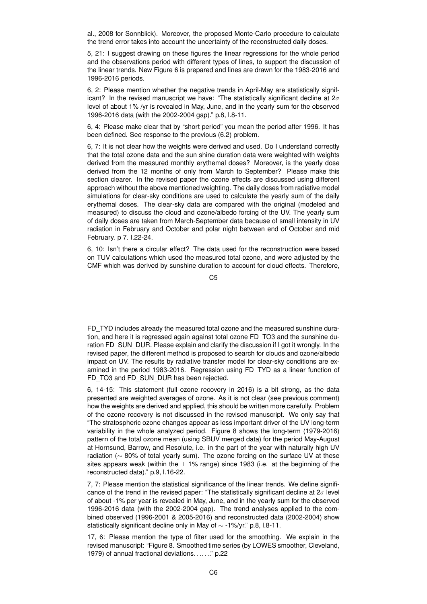al., 2008 for Sonnblick). Moreover, the proposed Monte-Carlo procedure to calculate the trend error takes into account the uncertainty of the reconstructed daily doses.

5, 21: I suggest drawing on these figures the linear regressions for the whole period and the observations period with different types of lines, to support the discussion of the linear trends. New Figure 6 is prepared and lines are drawn for the 1983-2016 and 1996-2016 periods.

6, 2: Please mention whether the negative trends in April-May are statistically significant? In the revised manuscript we have: "The statistically significant decline at  $2\sigma$ level of about 1% /yr is revealed in May, June, and in the yearly sum for the observed 1996-2016 data (with the 2002-2004 gap)." p.8, l.8-11.

6, 4: Please make clear that by "short period" you mean the period after 1996. It has been defined. See response to the previous (6.2) problem.

6, 7: It is not clear how the weights were derived and used. Do I understand correctly that the total ozone data and the sun shine duration data were weighted with weights derived from the measured monthly erythemal doses? Moreover, is the yearly dose derived from the 12 months of only from March to September? Please make this section clearer. In the revised paper the ozone effects are discussed using different approach without the above mentioned weighting. The daily doses from radiative model simulations for clear-sky conditions are used to calculate the yearly sum of the daily erythemal doses. The clear-sky data are compared with the original (modeled and measured) to discuss the cloud and ozone/albedo forcing of the UV. The yearly sum of daily doses are taken from March-September data because of small intensity in UV radiation in February and October and polar night between end of October and mid February. p 7. l.22-24.

6, 10: Isn't there a circular effect? The data used for the reconstruction were based on TUV calculations which used the measured total ozone, and were adjusted by the CMF which was derived by sunshine duration to account for cloud effects. Therefore,

C5

FD\_TYD includes already the measured total ozone and the measured sunshine duration, and here it is regressed again against total ozone FD\_TO3 and the sunshine duration FD\_SUN\_DUR. Please explain and clarify the discussion if I got it wrongly. In the revised paper, the different method is proposed to search for clouds and ozone/albedo impact on UV. The results by radiative transfer model for clear-sky conditions are examined in the period 1983-2016. Regression using FD\_TYD as a linear function of FD\_TO3 and FD\_SUN\_DUR has been rejected.

6, 14-15: This statement (full ozone recovery in 2016) is a bit strong, as the data presented are weighted averages of ozone. As it is not clear (see previous comment) how the weights are derived and applied, this should be written more carefully. Problem of the ozone recovery is not discussed in the revised manuscript. We only say that "The stratospheric ozone changes appear as less important driver of the UV long-term variability in the whole analyzed period. Figure 8 shows the long-term (1979-2016) pattern of the total ozone mean (using SBUV merged data) for the period May-August at Hornsund, Barrow, and Resolute, i.e. in the part of the year with naturally high UV radiation ( $\sim$  80% of total yearly sum). The ozone forcing on the surface UV at these sites appears weak (within the  $\pm$  1% range) since 1983 (i.e. at the beginning of the reconstructed data)." p.9, l.16-22.

7, 7: Please mention the statistical significance of the linear trends. We define significance of the trend in the revised paper: "The statistically significant decline at  $2\sigma$  level of about -1% per year is revealed in May, June, and in the yearly sum for the observed 1996-2016 data (with the 2002-2004 gap). The trend analyses applied to the combined observed (1996-2001 & 2005-2016) and reconstructed data (2002-2004) show statistically significant decline only in May of ∼ -1%/yr." p.8, l.8-11.

17, 6: Please mention the type of filter used for the smoothing. We explain in the revised manuscript: "Figure 8. Smoothed time series (by LOWES smoother, Cleveland, 1979) of annual fractional deviations. . .. . .." p.22